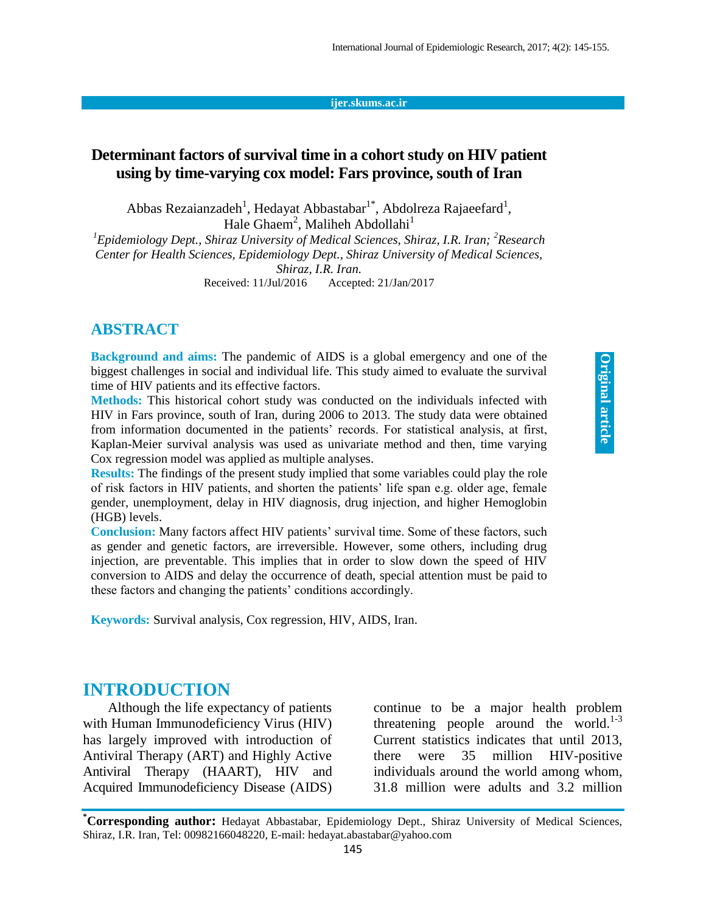#### **ijer.skums.ac.ir**

### **Determinant factors of survival time in a cohort study on HIV patient using by time-varying cox model: Fars province, south of Iran**

Abbas Rezaianzadeh<sup>1</sup>, Hedayat Abbastabar<sup>1\*</sup>, Abdolreza Rajaeefard<sup>1</sup>, Hale Ghaem<sup>2</sup>, Maliheh Abdollahi<sup>1</sup>

<sup>1</sup>*Epidemiology Dept., Shiraz University of Medical Sciences, Shiraz, I.R. Iran; <sup>2</sup>Research Center for Health Sciences, Epidemiology Dept., Shiraz University of Medical Sciences, Shiraz, I.R. Iran.*

Received: 11/Jul/2016 Accepted: 21/Jan/2017

#### **ABSTRACT**

**Background and aims:** The pandemic of AIDS is a global emergency and one of the biggest challenges in social and individual life. This study aimed to evaluate the survival time of HIV patients and its effective factors.

**Methods:** This historical cohort study was conducted on the individuals infected with HIV in Fars province, south of Iran, during 2006 to 2013. The study data were obtained from information documented in the patients' records. For statistical analysis, at first, Kaplan-Meier survival analysis was used as univariate method and then, time varying Cox regression model was applied as multiple analyses.

**Results:** The findings of the present study implied that some variables could play the role of risk factors in HIV patients, and shorten the patients' life span e.g. older age, female gender, unemployment, delay in HIV diagnosis, drug injection, and higher Hemoglobin (HGB) levels.

**Conclusion:** Many factors affect HIV patients' survival time. Some of these factors, such as gender and genetic factors, are irreversible. However, some others, including drug injection, are preventable. This implies that in order to slow down the speed of HIV conversion to AIDS and delay the occurrence of death, special attention must be paid to these factors and changing the patients' conditions accordingly.

**Keywords:** Survival analysis, Cox regression, HIV, AIDS, Iran.

### **INTRODUCTION**

Although the life expectancy of patients with Human Immunodeficiency Virus (HIV) has largely improved with introduction of Antiviral Therapy (ART) and Highly Active Antiviral Therapy (HAART), HIV and Acquired Immunodeficiency Disease (AIDS) continue to be a major health problem threatening people around the world.<sup>1-3</sup> Current statistics indicates that until 2013, there were 35 million HIV-positive individuals around the world among whom, 31.8 million were adults and 3.2 million

**\*Corresponding author:** Hedayat Abbastabar, Epidemiology Dept., Shiraz University of Medical Sciences, Shiraz, I.R. Iran, Tel: 00982166048220, E-mail: hedayat.abastabar@yahoo.com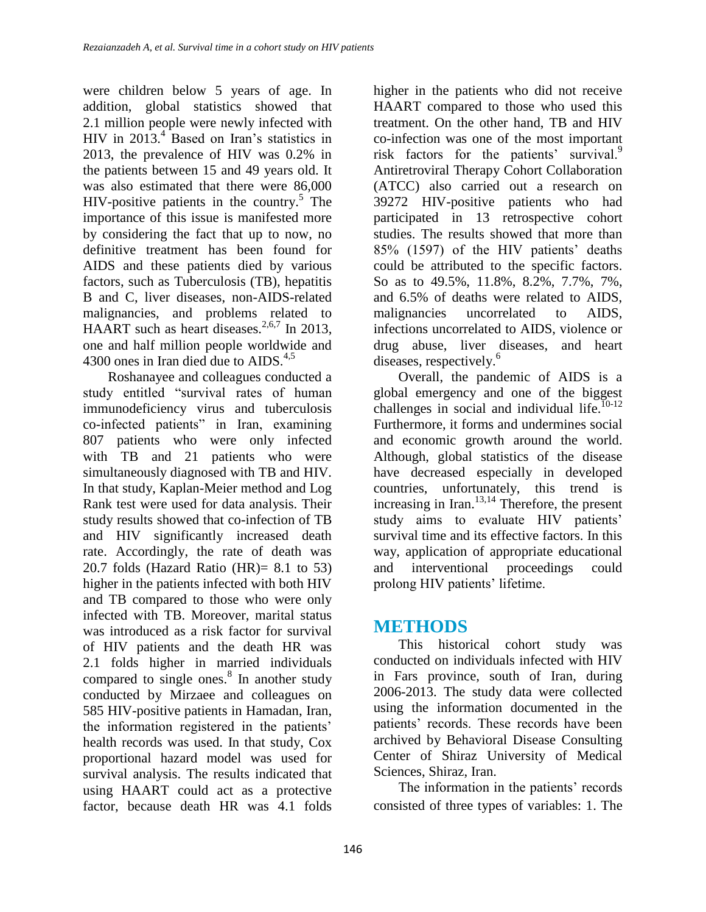were children below 5 years of age. In addition, global statistics showed that 2.1 million people were newly infected with HIV in  $2013.<sup>4</sup>$  Based on Iran's statistics in 2013, the prevalence of HIV was 0.2% in the patients between 15 and 49 years old. It was also estimated that there were 86,000 HIV-positive patients in the country.<sup>5</sup> The importance of this issue is manifested more by considering the fact that up to now, no definitive treatment has been found for AIDS and these patients died by various factors, such as Tuberculosis (TB), hepatitis B and C, liver diseases, non-AIDS-related malignancies, and problems related to HAART such as heart diseases.<sup>2,6,7</sup> In 2013, one and half million people worldwide and 4300 ones in Iran died due to  $AIDS^{4,5}$ 

Roshanayee and colleagues conducted a study entitled "survival rates of human immunodeficiency virus and tuberculosis co-infected patients" in Iran, examining 807 patients who were only infected with TB and 21 patients who were simultaneously diagnosed with TB and HIV. In that study, Kaplan-Meier method and Log Rank test were used for data analysis. Their study results showed that co-infection of TB and HIV significantly increased death rate. Accordingly, the rate of death was 20.7 folds (Hazard Ratio (HR)=  $8.1$  to 53) higher in the patients infected with both HIV and TB compared to those who were only infected with TB. Moreover, marital status was introduced as a risk factor for survival of HIV patients and the death HR was 2.1 folds higher in married individuals compared to single ones. $8 \text{ In another study}$ conducted by Mirzaee and colleagues on 585 HIV-positive patients in Hamadan, Iran, the information registered in the patients' health records was used. In that study, Cox proportional hazard model was used for survival analysis. The results indicated that using HAART could act as a protective factor, because death HR was 4.1 folds

higher in the patients who did not receive HAART compared to those who used this treatment. On the other hand, TB and HIV co-infection was one of the most important risk factors for the patients' survival.<sup>9</sup> Antiretroviral Therapy Cohort Collaboration (ATCC) also carried out a research on 39272 HIV-positive patients who had participated in 13 retrospective cohort studies. The results showed that more than 85% (1597) of the HIV patients' deaths could be attributed to the specific factors. So as to 49.5%, 11.8%, 8.2%, 7.7%, 7%, and 6.5% of deaths were related to AIDS, malignancies uncorrelated to AIDS, infections uncorrelated to AIDS, violence or drug abuse, liver diseases, and heart diseases, respectively.<sup>6</sup>

Overall, the pandemic of AIDS is a global emergency and one of the biggest challenges in social and individual life.<sup>10-12</sup> Furthermore, it forms and undermines social and economic growth around the world. Although, global statistics of the disease have decreased especially in developed countries, unfortunately, this trend is increasing in Iran.<sup>13,14</sup> Therefore, the present study aims to evaluate HIV patients' survival time and its effective factors. In this way, application of appropriate educational and interventional proceedings could prolong HIV patients' lifetime.

# **METHODS**

This historical cohort study was conducted on individuals infected with HIV in Fars province, south of Iran, during 2006-2013. The study data were collected using the information documented in the patients' records. These records have been archived by Behavioral Disease Consulting Center of Shiraz University of Medical Sciences, Shiraz, Iran.

The information in the patients' records consisted of three types of variables: 1. The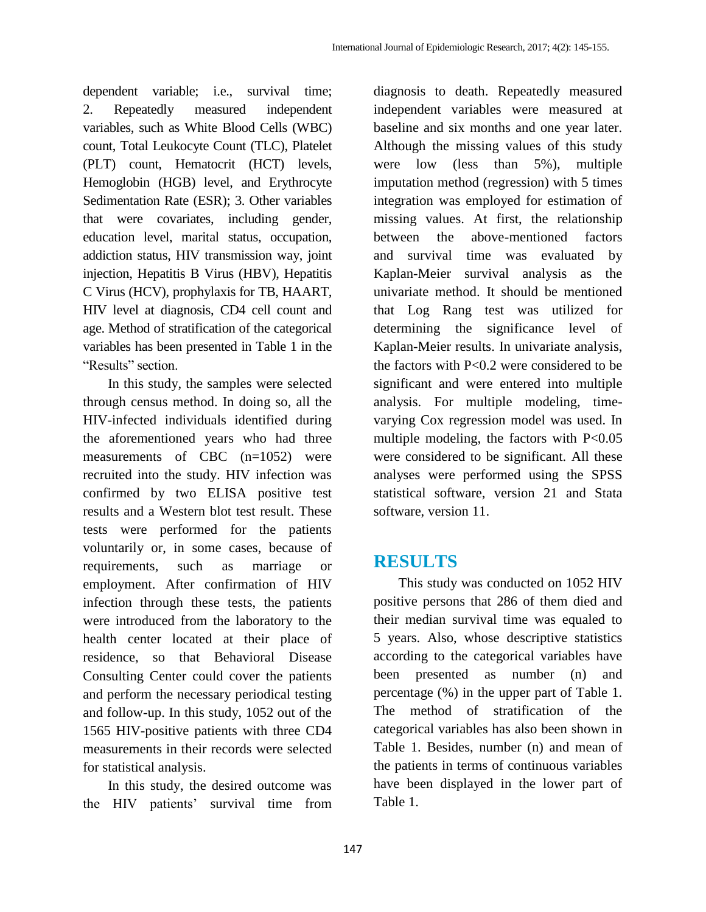dependent variable; i.e., survival time; 2. Repeatedly measured independent variables, such as White Blood Cells (WBC) count, Total Leukocyte Count (TLC), Platelet (PLT) count, Hematocrit (HCT) levels, Hemoglobin (HGB) level, and Erythrocyte Sedimentation Rate (ESR); 3. Other variables that were covariates, including gender, education level, marital status, occupation, addiction status, HIV transmission way, joint injection, Hepatitis B Virus (HBV), Hepatitis C Virus (HCV), prophylaxis for TB, HAART, HIV level at diagnosis, CD4 cell count and age. Method of stratification of the categorical variables has been presented in Table 1 in the "Results" section.

In this study, the samples were selected through census method. In doing so, all the HIV-infected individuals identified during the aforementioned years who had three measurements of CBC (n=1052) were recruited into the study. HIV infection was confirmed by two ELISA positive test results and a Western blot test result. These tests were performed for the patients voluntarily or, in some cases, because of requirements, such as marriage or employment. After confirmation of HIV infection through these tests, the patients were introduced from the laboratory to the health center located at their place of residence, so that Behavioral Disease Consulting Center could cover the patients and perform the necessary periodical testing and follow-up. In this study, 1052 out of the 1565 HIV-positive patients with three CD4 measurements in their records were selected for statistical analysis.

In this study, the desired outcome was the HIV patients' survival time from diagnosis to death. Repeatedly measured independent variables were measured at baseline and six months and one year later. Although the missing values of this study were low (less than 5%), multiple imputation method (regression) with 5 times integration was employed for estimation of missing values. At first, the relationship between the above-mentioned factors and survival time was evaluated by Kaplan-Meier survival analysis as the univariate method. It should be mentioned that Log Rang test was utilized for determining the significance level of Kaplan-Meier results. In univariate analysis, the factors with P<0.2 were considered to be significant and were entered into multiple analysis. For multiple modeling, timevarying Cox regression model was used. In multiple modeling, the factors with  $P<0.05$ were considered to be significant. All these analyses were performed using the SPSS statistical software, version 21 and Stata software, version 11.

## **RESULTS**

This study was conducted on 1052 HIV positive persons that 286 of them died and their median survival time was equaled to 5 years. Also, whose descriptive statistics according to the categorical variables have been presented as number (n) and percentage (%) in the upper part of Table 1. The method of stratification of the categorical variables has also been shown in Table 1. Besides, number (n) and mean of the patients in terms of continuous variables have been displayed in the lower part of Table 1.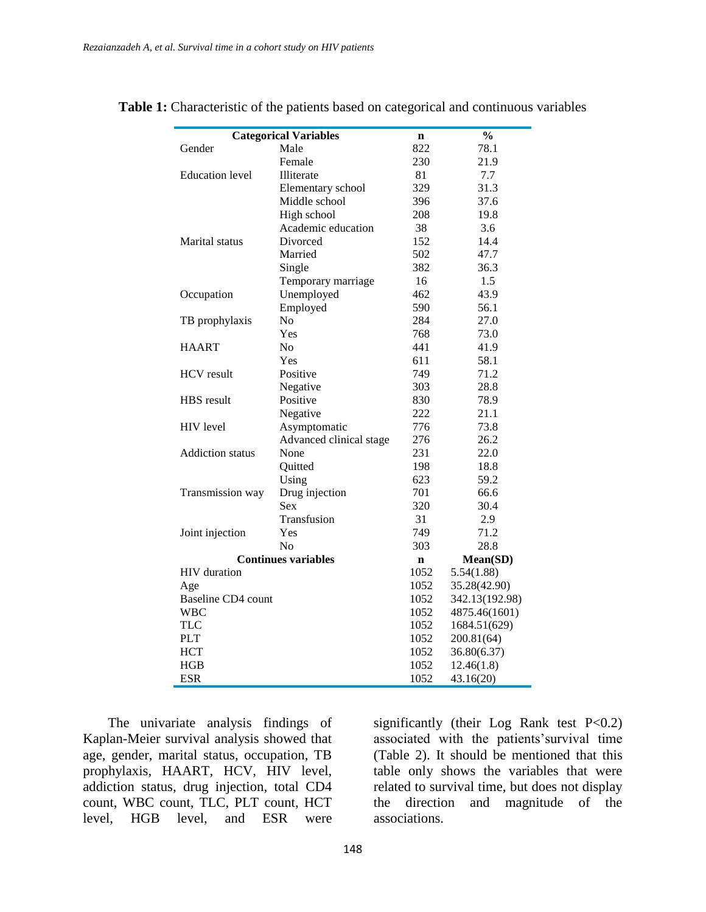| <b>Categorical Variables</b> | n                       | $\frac{0}{0}$ |                |
|------------------------------|-------------------------|---------------|----------------|
| Gender                       | Male                    | 822           | 78.1           |
|                              | Female                  | 230           | 21.9           |
| <b>Education</b> level       | Illiterate              | 81            | 7.7            |
|                              | Elementary school       | 329           | 31.3           |
|                              | Middle school           | 396           | 37.6           |
|                              | High school             | 208           | 19.8           |
|                              | Academic education      | 38            | 3.6            |
| Marital status               | Divorced                | 152           | 14.4           |
|                              | Married                 | 502           | 47.7           |
|                              | Single                  | 382           | 36.3           |
|                              | Temporary marriage      | 16            | 1.5            |
| Occupation                   | Unemployed              | 462           | 43.9           |
|                              | Employed                | 590           | 56.1           |
| TB prophylaxis               | N <sub>o</sub>          | 284           | 27.0           |
|                              | Yes                     | 768           | 73.0           |
| <b>HAART</b>                 | N <sub>o</sub>          | 441           | 41.9           |
|                              | Yes                     | 611           | 58.1           |
| <b>HCV</b> result            | Positive                | 749           | 71.2           |
|                              | Negative                | 303           | 28.8           |
| <b>HBS</b> result            | Positive                | 830           | 78.9           |
|                              | Negative                | 222           | 21.1           |
| <b>HIV</b> level             | Asymptomatic            | 776           | 73.8           |
|                              | Advanced clinical stage | 276           | 26.2           |
| <b>Addiction</b> status      | None                    | 231           | 22.0           |
|                              | Quitted                 | 198           | 18.8           |
|                              | Using                   | 623           | 59.2           |
| Transmission way             | Drug injection          | 701           | 66.6           |
|                              | <b>Sex</b>              | 320           | 30.4           |
|                              | Transfusion             | 31            | 2.9            |
| Joint injection              | Yes                     | 749           | 71.2           |
|                              | No                      | 303           | 28.8           |
| <b>Continues variables</b>   | n                       | Mean(SD)      |                |
| HIV duration                 |                         | 1052          | 5.54(1.88)     |
| Age                          |                         | 1052          | 35.28(42.90)   |
| Baseline CD4 count           |                         | 1052          | 342.13(192.98) |
| <b>WBC</b>                   |                         | 1052          | 4875.46(1601)  |
| <b>TLC</b>                   |                         | 1052          | 1684.51(629)   |
| <b>PLT</b>                   |                         | 1052          | 200.81(64)     |
| <b>HCT</b>                   |                         | 1052          | 36.80(6.37)    |
| <b>HGB</b>                   |                         | 1052          | 12.46(1.8)     |
| <b>ESR</b>                   |                         | 1052          | 43.16(20)      |

**Table 1:** Characteristic of the patients based on categorical and continuous variables

The univariate analysis findings of Kaplan-Meier survival analysis showed that age, gender, marital status, occupation, TB prophylaxis, HAART, HCV, HIV level, addiction status, drug injection, total CD4 count, WBC count, TLC, PLT count, HCT level, HGB level, and ESR were

significantly (their Log Rank test  $P<0.2$ ) associated with the patients'survival time (Table 2). It should be mentioned that this table only shows the variables that were related to survival time, but does not display the direction and magnitude of the associations.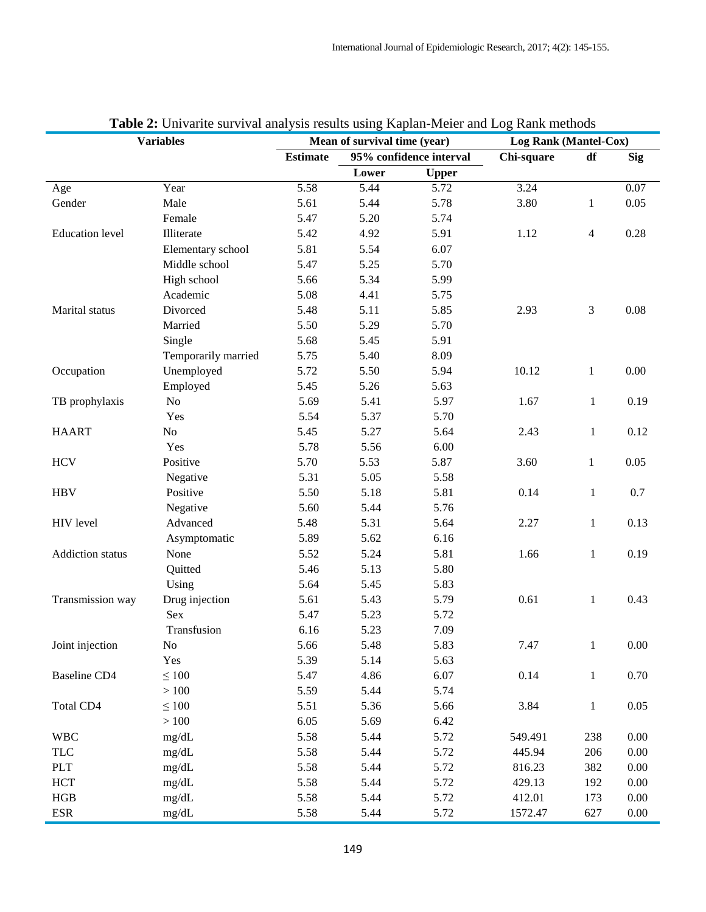| <b>Variables</b>        |                     | Mean of survival time (year) |                         | Log Rank (Mantel-Cox) |            |              |            |
|-------------------------|---------------------|------------------------------|-------------------------|-----------------------|------------|--------------|------------|
|                         |                     | <b>Estimate</b>              | 95% confidence interval |                       | Chi-square | df           | <b>Sig</b> |
|                         |                     |                              | Lower                   | <b>Upper</b>          |            |              |            |
| Age                     | Year                | 5.58                         | 5.44                    | 5.72                  | 3.24       |              | 0.07       |
| Gender                  | Male                | 5.61                         | 5.44                    | 5.78                  | 3.80       | 1            | 0.05       |
|                         | Female              | 5.47                         | 5.20                    | 5.74                  |            |              |            |
| <b>Education</b> level  | Illiterate          | 5.42                         | 4.92                    | 5.91                  | 1.12       | 4            | 0.28       |
|                         | Elementary school   | 5.81                         | 5.54                    | 6.07                  |            |              |            |
|                         | Middle school       | 5.47                         | 5.25                    | 5.70                  |            |              |            |
|                         | High school         | 5.66                         | 5.34                    | 5.99                  |            |              |            |
|                         | Academic            | 5.08                         | 4.41                    | 5.75                  |            |              |            |
| Marital status          | Divorced            | 5.48                         | 5.11                    | 5.85                  | 2.93       | 3            | 0.08       |
|                         | Married             | 5.50                         | 5.29                    | 5.70                  |            |              |            |
|                         | Single              | 5.68                         | 5.45                    | 5.91                  |            |              |            |
|                         | Temporarily married | 5.75                         | 5.40                    | 8.09                  |            |              |            |
| Occupation              | Unemployed          | 5.72                         | 5.50                    | 5.94                  | 10.12      | $\mathbf{1}$ | 0.00       |
|                         | Employed            | 5.45                         | 5.26                    | 5.63                  |            |              |            |
| TB prophylaxis          | No                  | 5.69                         | 5.41                    | 5.97                  | 1.67       | $\mathbf{1}$ | 0.19       |
|                         | Yes                 | 5.54                         | 5.37                    | 5.70                  |            |              |            |
| <b>HAART</b>            | No                  | 5.45                         | 5.27                    | 5.64                  | 2.43       | $\mathbf{1}$ | 0.12       |
|                         | Yes                 | 5.78                         | 5.56                    | 6.00                  |            |              |            |
| <b>HCV</b>              | Positive            | 5.70                         | 5.53                    | 5.87                  | 3.60       | $\mathbf{1}$ | 0.05       |
|                         | Negative            | 5.31                         | 5.05                    | 5.58                  |            |              |            |
| <b>HBV</b>              | Positive            | 5.50                         | 5.18                    | 5.81                  | 0.14       | $\mathbf{1}$ | 0.7        |
|                         | Negative            | 5.60                         | 5.44                    | 5.76                  |            |              |            |
| HIV level               | Advanced            | 5.48                         | 5.31                    | 5.64                  | 2.27       | $\mathbf{1}$ | 0.13       |
|                         | Asymptomatic        | 5.89                         | 5.62                    | 6.16                  |            |              |            |
| <b>Addiction</b> status | None                | 5.52                         | 5.24                    | 5.81                  | 1.66       | $\mathbf{1}$ | 0.19       |
|                         | Quitted             | 5.46                         | 5.13                    | 5.80                  |            |              |            |
|                         | Using               | 5.64                         | 5.45                    | 5.83                  |            |              |            |
| Transmission way        | Drug injection      | 5.61                         | 5.43                    | 5.79                  | 0.61       | $\mathbf{1}$ | 0.43       |
|                         | <b>Sex</b>          | 5.47                         | 5.23                    | 5.72                  |            |              |            |
|                         | Transfusion         | 6.16                         | 5.23                    | 7.09                  |            |              |            |
| Joint injection         | No                  | 5.66                         | 5.48                    | 5.83                  | 7.47       | $\mathbf{1}$ | $0.00\,$   |
|                         | Yes                 | 5.39                         | 5.14                    | 5.63                  |            |              |            |
| <b>Baseline CD4</b>     | $\leq 100$          | 5.47                         | 4.86                    | 6.07                  | 0.14       | $\mathbf{1}$ | 0.70       |
|                         | $>100$              | 5.59                         | 5.44                    | 5.74                  |            |              |            |
| Total CD4               | $\leq 100$          | 5.51                         | 5.36                    | 5.66                  | 3.84       | $\mathbf{1}$ | 0.05       |
|                         | $>100$              | 6.05                         | 5.69                    | 6.42                  |            |              |            |
| <b>WBC</b>              | mg/dL               | 5.58                         | 5.44                    | 5.72                  | 549.491    | 238          | 0.00       |
| <b>TLC</b>              | mg/dL               | 5.58                         | 5.44                    | 5.72                  | 445.94     | 206          | 0.00       |
| PLT                     | mg/dL               | 5.58                         | 5.44                    | 5.72                  | 816.23     | 382          | 0.00       |
| HCT                     | mg/dL               | 5.58                         | 5.44                    | 5.72                  | 429.13     | 192          | 0.00       |
| HGB                     | mg/dL               | 5.58                         | 5.44                    | 5.72                  | 412.01     | 173          | $0.00\,$   |
| $_{\rm ESR}$            | mg/dL               | 5.58                         | 5.44                    | 5.72                  | 1572.47    | 627          | $0.00\,$   |

#### **Table 2:** Univarite survival analysis results using Kaplan-Meier and Log Rank methods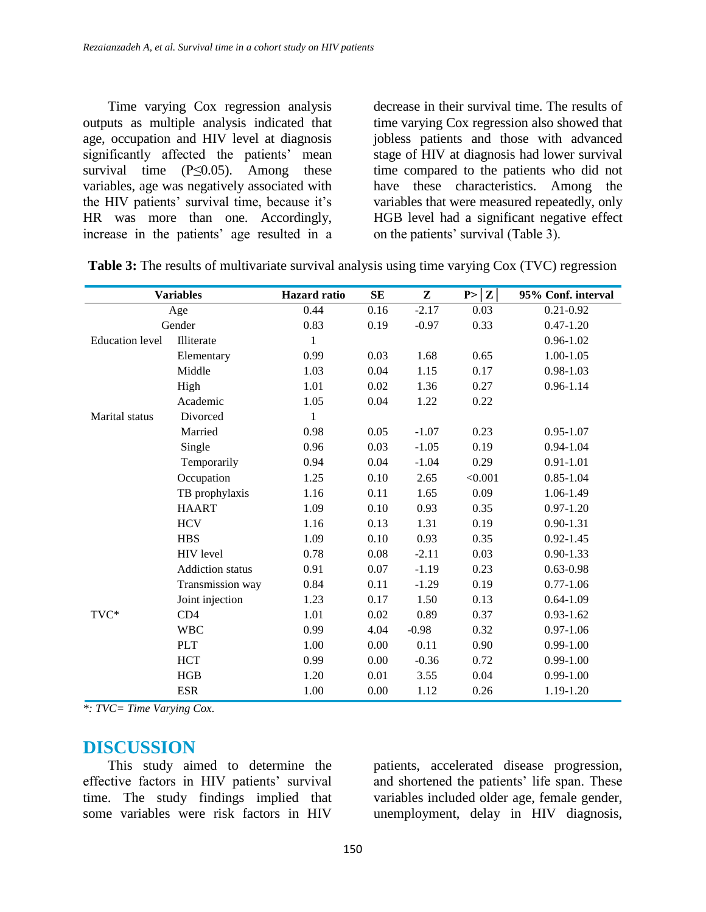Time varying Cox regression analysis outputs as multiple analysis indicated that age, occupation and HIV level at diagnosis significantly affected the patients' mean survival time  $(P \le 0.05)$ . Among these variables, age was negatively associated with the HIV patients' survival time, because it's HR was more than one. Accordingly, increase in the patients' age resulted in a

decrease in their survival time. The results of time varying Cox regression also showed that jobless patients and those with advanced stage of HIV at diagnosis had lower survival time compared to the patients who did not have these characteristics. Among the variables that were measured repeatedly, only HGB level had a significant negative effect on the patients' survival (Table 3).

|                        | <b>Variables</b>        | <b>Hazard</b> ratio | <b>SE</b> | ${\bf z}$ | P >  Z  | 95% Conf. interval |
|------------------------|-------------------------|---------------------|-----------|-----------|---------|--------------------|
| Age                    |                         | 0.44                | 0.16      | $-2.17$   | 0.03    | $0.21 - 0.92$      |
| Gender                 |                         | 0.83                | 0.19      | $-0.97$   | 0.33    | $0.47 - 1.20$      |
| <b>Education</b> level | Illiterate              | $\mathbf{1}$        |           |           |         | $0.96 - 1.02$      |
|                        | Elementary              | 0.99                | 0.03      | 1.68      | 0.65    | $1.00 - 1.05$      |
|                        | Middle                  | 1.03                | 0.04      | 1.15      | 0.17    | $0.98 - 1.03$      |
|                        | High                    | 1.01                | 0.02      | 1.36      | 0.27    | $0.96 - 1.14$      |
|                        | Academic                | 1.05                | 0.04      | 1.22      | 0.22    |                    |
| <b>Marital</b> status  | Divorced                | $\mathbf{1}$        |           |           |         |                    |
|                        | Married                 | 0.98                | 0.05      | $-1.07$   | 0.23    | $0.95 - 1.07$      |
|                        | Single                  | 0.96                | 0.03      | $-1.05$   | 0.19    | $0.94 - 1.04$      |
|                        | Temporarily             | 0.94                | 0.04      | $-1.04$   | 0.29    | $0.91 - 1.01$      |
|                        | Occupation              | 1.25                | 0.10      | 2.65      | < 0.001 | $0.85 - 1.04$      |
|                        | TB prophylaxis          | 1.16                | 0.11      | 1.65      | 0.09    | 1.06-1.49          |
|                        | <b>HAART</b>            | 1.09                | 0.10      | 0.93      | 0.35    | $0.97 - 1.20$      |
|                        | <b>HCV</b>              | 1.16                | 0.13      | 1.31      | 0.19    | $0.90 - 1.31$      |
|                        | <b>HBS</b>              | 1.09                | 0.10      | 0.93      | 0.35    | $0.92 - 1.45$      |
|                        | HIV level               | 0.78                | 0.08      | $-2.11$   | 0.03    | $0.90 - 1.33$      |
|                        | <b>Addiction</b> status | 0.91                | 0.07      | $-1.19$   | 0.23    | $0.63 - 0.98$      |
|                        | Transmission way        | 0.84                | 0.11      | $-1.29$   | 0.19    | $0.77 - 1.06$      |
|                        | Joint injection         | 1.23                | 0.17      | 1.50      | 0.13    | $0.64 - 1.09$      |
| TVC*                   | CD4                     | 1.01                | 0.02      | 0.89      | 0.37    | $0.93 - 1.62$      |
|                        | <b>WBC</b>              | 0.99                | 4.04      | $-0.98$   | 0.32    | $0.97 - 1.06$      |
|                        | <b>PLT</b>              | 1.00                | 0.00      | 0.11      | 0.90    | $0.99 - 1.00$      |
|                        | <b>HCT</b>              | 0.99                | 0.00      | $-0.36$   | 0.72    | $0.99 - 1.00$      |
|                        | HGB                     | 1.20                | 0.01      | 3.55      | 0.04    | $0.99 - 1.00$      |
|                        | <b>ESR</b>              | 1.00                | 0.00      | 1.12      | 0.26    | 1.19-1.20          |

**Table 3:** The results of multivariate survival analysis using time varying Cox (TVC) regression

*\*: TVC= Time Varying Cox.*

### **DISCUSSION**

This study aimed to determine the effective factors in HIV patients' survival time. The study findings implied that some variables were risk factors in HIV patients, accelerated disease progression, and shortened the patients' life span. These variables included older age, female gender, unemployment, delay in HIV diagnosis,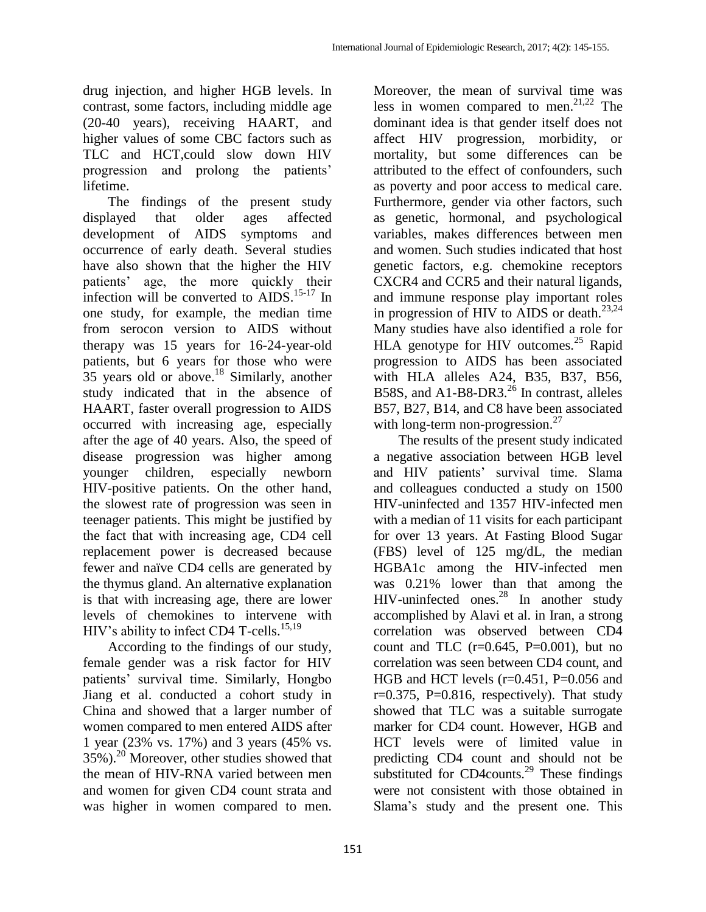drug injection, and higher HGB levels. In contrast, some factors, including middle age (20-40 years), receiving HAART, and higher values of some CBC factors such as TLC and HCT,could slow down HIV progression and prolong the patients' lifetime.

The findings of the present study displayed that older ages affected development of AIDS symptoms and occurrence of early death. Several studies have also shown that the higher the HIV patients' age, the more quickly their infection will be converted to  $\widehat{AIDS}$ .<sup>15-17</sup> In one study, for example, the median time from serocon version to AIDS without therapy was 15 years for 16-24-year-old patients, but 6 years for those who were 35 years old or above.<sup>18</sup> Similarly, another study indicated that in the absence of HAART, faster overall progression to AIDS occurred with increasing age, especially after the age of 40 years. Also, the speed of disease progression was higher among younger children, especially newborn HIV-positive patients. On the other hand, the slowest rate of progression was seen in teenager patients. This might be justified by the fact that with increasing age, CD4 cell replacement power is decreased because fewer and naïve CD4 cells are generated by the thymus gland. An alternative explanation is that with increasing age, there are lower levels of chemokines to intervene with HIV's ability to infect CD4 T-cells.<sup>15,19</sup>

According to the findings of our study, female gender was a risk factor for HIV patients' survival time. Similarly, Hongbo Jiang et al. conducted a cohort study in China and showed that a larger number of women compared to men entered AIDS after 1 year (23% vs. 17%) and 3 years (45% vs.  $35\%$ ).<sup>20</sup> Moreover, other studies showed that the mean of HIV-RNA varied between men and women for given CD4 count strata and was higher in women compared to men.

Moreover, the mean of survival time was less in women compared to men.<sup>21,22</sup> The dominant idea is that gender itself does not affect HIV progression, morbidity, or mortality, but some differences can be attributed to the effect of confounders, such as poverty and poor access to medical care. Furthermore, gender via other factors, such as genetic, hormonal, and psychological variables, makes differences between men and women. Such studies indicated that host genetic factors, e.g. chemokine receptors CXCR4 and CCR5 and their natural ligands, and immune response play important roles in progression of HIV to AIDS or death.<sup>23,24</sup> Many studies have also identified a role for HLA genotype for HIV outcomes.<sup>25</sup> Rapid progression to AIDS has been associated with HLA alleles A24, B35, B37, B56, B58S, and A1-B8-DR3.<sup>26</sup> In contrast, alleles B57, B27, B14, and C8 have been associated with long-term non-progression. $^{27}$ 

The results of the present study indicated a negative association between HGB level and HIV patients' survival time. Slama and colleagues conducted a study on 1500 HIV-uninfected and 1357 HIV-infected men with a median of 11 visits for each participant for over 13 years. At Fasting Blood Sugar (FBS) level of 125 mg/dL, the median HGBA1c among the HIV-infected men was 0.21% lower than that among the HIV-uninfected ones. <sup>28</sup> In another study accomplished by Alavi et al. in Iran, a strong correlation was observed between CD4 count and TLC  $(r=0.645, P=0.001)$ , but no correlation was seen between CD4 count, and HGB and HCT levels  $(r=0.451, P=0.056$  and  $r=0.375$ , P $=0.816$ , respectively). That study showed that TLC was a suitable surrogate marker for CD4 count. However, HGB and HCT levels were of limited value in predicting CD4 count and should not be substituted for CD4counts.<sup>29</sup> These findings were not consistent with those obtained in Slama's study and the present one. This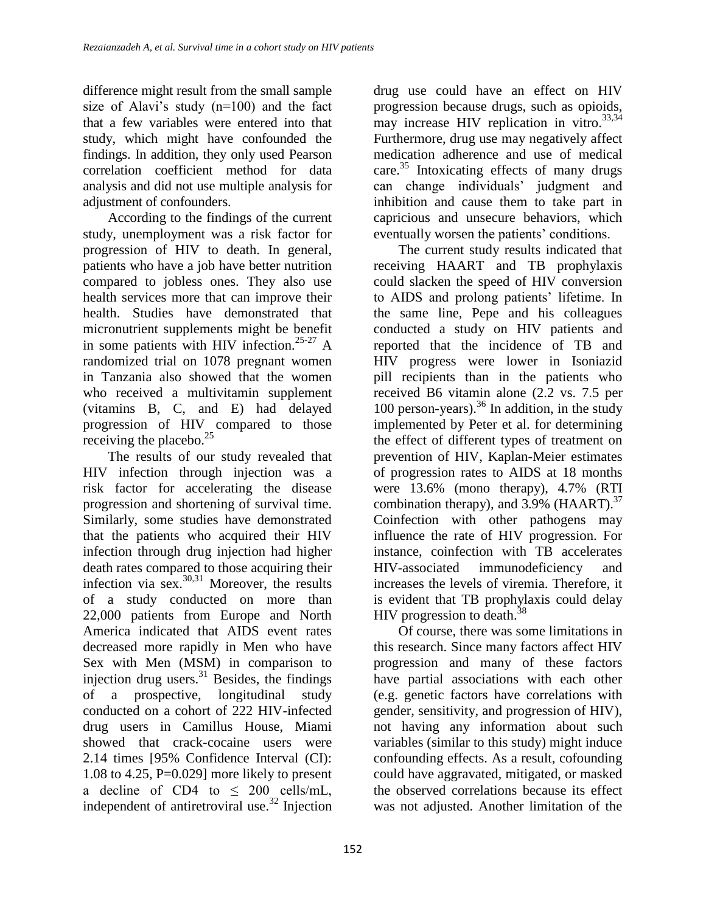difference might result from the small sample size of Alavi's study (n=100) and the fact that a few variables were entered into that study, which might have confounded the findings. In addition, they only used Pearson correlation coefficient method for data analysis and did not use multiple analysis for adjustment of confounders.

According to the findings of the current study, unemployment was a risk factor for progression of HIV to death. In general, patients who have a job have better nutrition compared to jobless ones. They also use health services more that can improve their health. Studies have demonstrated that micronutrient supplements might be benefit in some patients with HIV infection.<sup>25-27</sup> A randomized trial on 1078 pregnant women in Tanzania also showed that the women who received a multivitamin supplement (vitamins B, C, and E) had delayed progression of HIV compared to those receiving the placebo. $^{25}$ 

The results of our study revealed that HIV infection through injection was a risk factor for accelerating the disease progression and shortening of survival time. Similarly, some studies have demonstrated that the patients who acquired their HIV infection through drug injection had higher death rates compared to those acquiring their infection via sex. $30,31$  Moreover, the results of a study conducted on more than 22,000 patients from Europe and North America indicated that AIDS event rates decreased more rapidly in Men who have Sex with Men (MSM) in comparison to injection drug users. $31$  Besides, the findings of a prospective, longitudinal study conducted on a cohort of 222 HIV-infected drug users in Camillus House, Miami showed that crack-cocaine users were 2.14 times [95% Confidence Interval (CI): 1.08 to 4.25,  $P=0.029$ ] more likely to present a decline of CD4 to  $\leq$  200 cells/mL, independent of antiretroviral use.<sup>32</sup> Injection

drug use could have an effect on HIV progression because drugs, such as opioids, may increase HIV replication in vitro.  $33,34$ Furthermore, drug use may negatively affect medication adherence and use of medical care. $35$  Intoxicating effects of many drugs can change individuals' judgment and inhibition and cause them to take part in capricious and unsecure behaviors, which eventually worsen the patients' conditions.

The current study results indicated that receiving HAART and TB prophylaxis could slacken the speed of HIV conversion to AIDS and prolong patients' lifetime. In the same line, Pepe and his colleagues conducted a study on HIV patients and reported that the incidence of TB and HIV progress were lower in Isoniazid pill recipients than in the patients who received B6 vitamin alone (2.2 vs. 7.5 per 100 person-years). $36$  In addition, in the study implemented by Peter et al. for determining the effect of different types of treatment on prevention of HIV, Kaplan-Meier estimates of progression rates to AIDS at 18 months were 13.6% (mono therapy), 4.7% (RTI combination therapy), and  $3.9\%$  (HAART).<sup>37</sup> Coinfection with other pathogens may influence the rate of HIV progression. For instance, coinfection with TB accelerates HIV-associated immunodeficiency and increases the levels of viremia. Therefore, it is evident that TB prophylaxis could delay HIV progression to death. $38$ 

Of course, there was some limitations in this research. Since many factors affect HIV progression and many of these factors have partial associations with each other (e.g. genetic factors have correlations with gender, sensitivity, and progression of HIV), not having any information about such variables (similar to this study) might induce confounding effects. As a result, cofounding could have aggravated, mitigated, or masked the observed correlations because its effect was not adjusted. Another limitation of the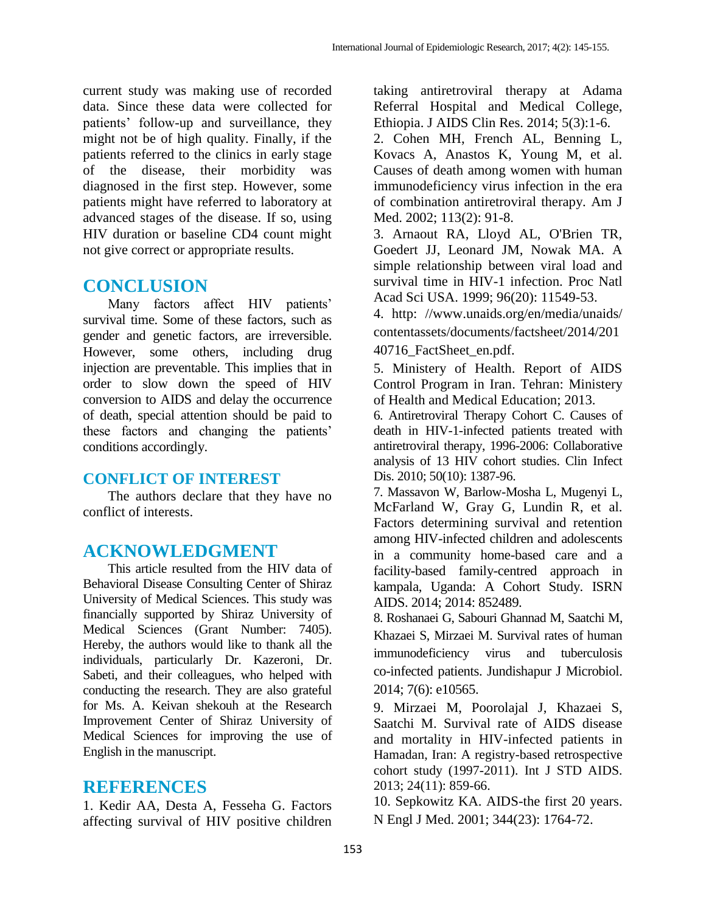current study was making use of recorded data. Since these data were collected for patients' follow-up and surveillance, they might not be of high quality. Finally, if the patients referred to the clinics in early stage of the disease, their morbidity was diagnosed in the first step. However, some patients might have referred to laboratory at advanced stages of the disease. If so, using HIV duration or baseline CD4 count might not give correct or appropriate results.

## **CONCLUSION**

Many factors affect HIV patients' survival time. Some of these factors, such as gender and genetic factors, are irreversible. However, some others, including drug injection are preventable. This implies that in order to slow down the speed of HIV conversion to AIDS and delay the occurrence of death, special attention should be paid to these factors and changing the patients' conditions accordingly.

### **CONFLICT OF INTEREST**

The authors declare that they have no conflict of interests.

## **ACKNOWLEDGMENT**

This article resulted from the HIV data of Behavioral Disease Consulting Center of Shiraz University of Medical Sciences. This study was financially supported by Shiraz University of Medical Sciences (Grant Number: 7405). Hereby, the authors would like to thank all the individuals, particularly Dr. Kazeroni, Dr. Sabeti, and their colleagues, who helped with conducting the research. They are also grateful for Ms. A. Keivan shekouh at the Research Improvement Center of Shiraz University of Medical Sciences for improving the use of English in the manuscript.

## **REFERENCES**

1. Kedir AA, Desta A, Fesseha G. Factors affecting survival of HIV positive children

taking antiretroviral therapy at Adama Referral Hospital and Medical College, Ethiopia. J AIDS Clin Res. 2014; 5(3):1-6.

2. Cohen MH, French AL, Benning L, Kovacs A, Anastos K, Young M, et al. Causes of death among women with human immunodeficiency virus infection in the era of combination antiretroviral therapy. Am J Med. 2002; 113(2): 91-8.

3. Arnaout RA, Lloyd AL, O'Brien TR, Goedert JJ, Leonard JM, Nowak MA. A simple relationship between viral load and survival time in HIV-1 infection. Proc Natl Acad Sci USA. 1999; 96(20): 11549-53.

4. http: [//www.unaids.org/en/media/unaids/](http://www.unaids.org/en/media/unaids/contentassets/documents/factsheet/2014/20140716_FactSheet_en.pdf) [contentassets/documents/factsheet/2014/201](http://www.unaids.org/en/media/unaids/contentassets/documents/factsheet/2014/20140716_FactSheet_en.pdf) [40716\\_FactSheet\\_en.pdf.](http://www.unaids.org/en/media/unaids/contentassets/documents/factsheet/2014/20140716_FactSheet_en.pdf)

5. Ministery of Health. Report of AIDS Control Program in Iran. Tehran: Ministery of Health and Medical Education; 2013.

6. Antiretroviral Therapy Cohort C. Causes of death in HIV-1-infected patients treated with antiretroviral therapy, 1996-2006: Collaborative analysis of 13 HIV cohort studies. Clin Infect Dis. 2010; 50(10): 1387-96.

7. Massavon W, Barlow-Mosha L, Mugenyi L, McFarland W, Gray G, Lundin R, et al. Factors determining survival and retention among HIV-infected children and adolescents in a community home-based care and a facility-based family-centred approach in kampala, Uganda: A Cohort Study. ISRN AIDS. 2014; 2014: 852489.

8. Roshanaei G, Sabouri Ghannad M, Saatchi M, Khazaei S, Mirzaei M. Survival rates of human immunodeficiency virus and tuberculosis co-infected patients. Jundishapur J Microbiol. 2014; 7(6): e10565.

9. Mirzaei M, Poorolajal J, Khazaei S, Saatchi M. Survival rate of AIDS disease and mortality in HIV-infected patients in Hamadan, Iran: A registry-based retrospective cohort study (1997-2011). Int J STD AIDS. 2013; 24(11): 859-66.

10. Sepkowitz KA. AIDS-the first 20 years. N Engl J Med. 2001; 344(23): 1764-72.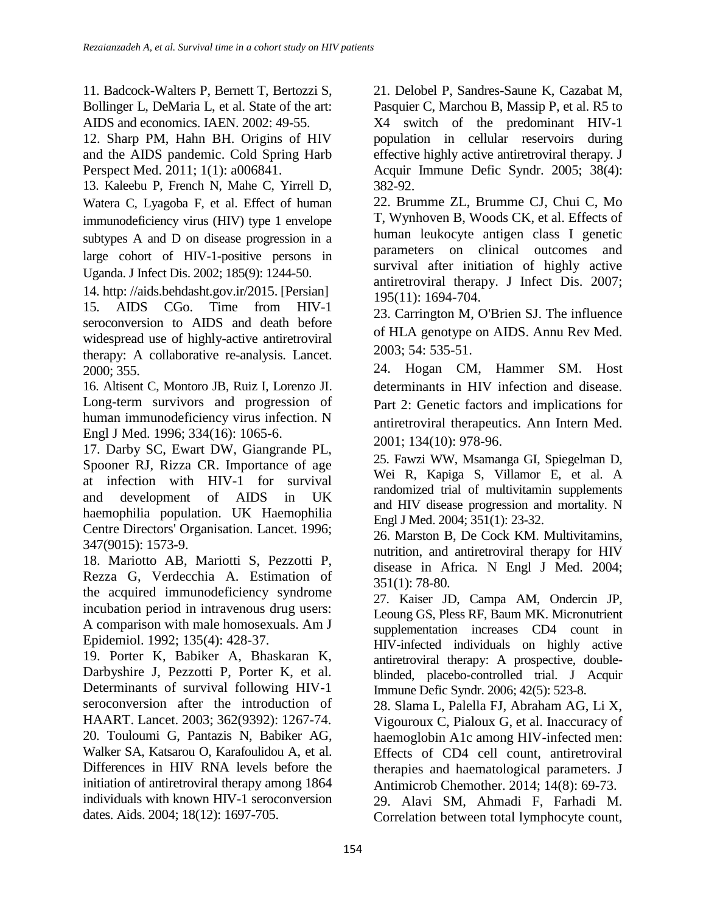11. Badcock-Walters P, Bernett T, Bertozzi S, Bollinger L, DeMaria L, et al. State of the art: AIDS and economics. IAEN. 2002: 49-55.

12. Sharp PM, Hahn BH. Origins of HIV and the AIDS pandemic. Cold Spring Harb Perspect Med. 2011; 1(1): a006841.

13. Kaleebu P, French N, Mahe C, Yirrell D, Watera C, Lyagoba F, et al. Effect of human immunodeficiency virus (HIV) type 1 envelope subtypes A and D on disease progression in a large cohort of HIV-1-positive persons in Uganda. J Infect Dis. 2002; 185(9): 1244-50.

14. http: [//aids.behdasht.gov.ir/2](http://aids.behdasht.gov.ir/page)015. [Persian] 15. AIDS CGo. Time from HIV-1 seroconversion to AIDS and death before widespread use of highly-active antiretroviral therapy: A collaborative re-analysis. Lancet. 2000; 355.

16. Altisent C, Montoro JB, Ruiz I, Lorenzo JI. Long-term survivors and progression of human immunodeficiency virus infection. N Engl J Med. 1996; 334(16): 1065-6.

17. Darby SC, Ewart DW, Giangrande PL, Spooner RJ, Rizza CR. Importance of age at infection with HIV-1 for survival and development of AIDS in UK haemophilia population. UK Haemophilia Centre Directors' Organisation. Lancet. 1996; 347(9015): 1573-9.

18. Mariotto AB, Mariotti S, Pezzotti P, Rezza G, Verdecchia A. Estimation of the acquired immunodeficiency syndrome incubation period in intravenous drug users: A comparison with male homosexuals. Am J Epidemiol. 1992; 135(4): 428-37.

19. Porter K, Babiker A, Bhaskaran K, Darbyshire J, Pezzotti P, Porter K, et al. Determinants of survival following HIV-1 seroconversion after the introduction of HAART. Lancet. 2003; 362(9392): 1267-74. 20. Touloumi G, Pantazis N, Babiker AG, Walker SA, Katsarou O, Karafoulidou A, et al. Differences in HIV RNA levels before the initiation of antiretroviral therapy among 1864 individuals with known HIV-1 seroconversion dates. Aids. 2004; 18(12): 1697-705.

21. Delobel P, Sandres-Saune K, Cazabat M, Pasquier C, Marchou B, Massip P, et al. R5 to X4 switch of the predominant HIV-1 population in cellular reservoirs during effective highly active antiretroviral therapy. J Acquir Immune Defic Syndr. 2005; 38(4): 382-92.

22. Brumme ZL, Brumme CJ, Chui C, Mo T, Wynhoven B, Woods CK, et al. Effects of human leukocyte antigen class I genetic parameters on clinical outcomes and survival after initiation of highly active antiretroviral therapy. J Infect Dis. 2007; 195(11): 1694-704.

23. Carrington M, O'Brien SJ. The influence of HLA genotype on AIDS. Annu Rev Med. 2003; 54: 535-51.

24. Hogan CM, Hammer SM. Host determinants in HIV infection and disease. Part 2: Genetic factors and implications for antiretroviral therapeutics. Ann Intern Med. 2001; 134(10): 978-96.

25. Fawzi WW, Msamanga GI, Spiegelman D, Wei R, Kapiga S, Villamor E, et al. A randomized trial of multivitamin supplements and HIV disease progression and mortality. N Engl J Med. 2004; 351(1): 23-32.

26. Marston B, De Cock KM. Multivitamins, nutrition, and antiretroviral therapy for HIV disease in Africa. N Engl J Med. 2004; 351(1): 78-80.

27. Kaiser JD, Campa AM, Ondercin JP, Leoung GS, Pless RF, Baum MK. Micronutrient supplementation increases CD4 count in HIV-infected individuals on highly active antiretroviral therapy: A prospective, doubleblinded, placebo-controlled trial. J Acquir Immune Defic Syndr. 2006; 42(5): 523-8.

28. Slama L, Palella FJ, Abraham AG, Li X, Vigouroux C, Pialoux G, et al. Inaccuracy of haemoglobin A1c among HIV-infected men: Effects of CD4 cell count, antiretroviral therapies and haematological parameters. J Antimicrob Chemother. 2014; 14(8): 69-73.

29. Alavi SM, Ahmadi F, Farhadi M. Correlation between total lymphocyte count,